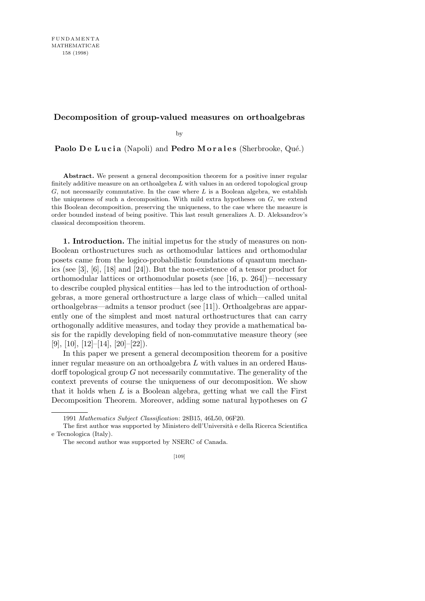## **Decomposition of group-valued measures on orthoalgebras**

by

**Paolo De Lucia** (Napoli) and **Pedro Morales** (Sherbrooke, Qué.)

Abstract. We present a general decomposition theorem for a positive inner regular finitely additive measure on an orthoalgebra *L* with values in an ordered topological group *G*, not necessarily commutative. In the case where *L* is a Boolean algebra, we establish the uniqueness of such a decomposition. With mild extra hypotheses on *G*, we extend this Boolean decomposition, preserving the uniqueness, to the case where the measure is order bounded instead of being positive. This last result generalizes A. D. Aleksandrov's classical decomposition theorem.

**1. Introduction.** The initial impetus for the study of measures on non-Boolean orthostructures such as orthomodular lattices and orthomodular posets came from the logico-probabilistic foundations of quantum mechanics (see [3], [6], [18] and [24]). But the non-existence of a tensor product for orthomodular lattices or orthomodular posets (see [16, p. 264])—necessary to describe coupled physical entities—has led to the introduction of orthoalgebras, a more general orthostructure a large class of which—called unital orthoalgebras—admits a tensor product (see [11]). Orthoalgebras are apparently one of the simplest and most natural orthostructures that can carry orthogonally additive measures, and today they provide a mathematical basis for the rapidly developing field of non-commutative measure theory (see [9], [10], [12]-[14], [20]-[22]).

In this paper we present a general decomposition theorem for a positive inner regular measure on an orthoalgebra *L* with values in an ordered Hausdorff topological group *G* not necessarily commutative. The generality of the context prevents of course the uniqueness of our decomposition. We show that it holds when *L* is a Boolean algebra, getting what we call the First Decomposition Theorem. Moreover, adding some natural hypotheses on *G*

<sup>1991</sup> *Mathematics Subject Classification*: 28B15, 46L50, 06F20.

The first author was supported by Ministero dell'Università e della Ricerca Scientifica e Tecnologica (Italy).

The second author was supported by NSERC of Canada.

<sup>[109]</sup>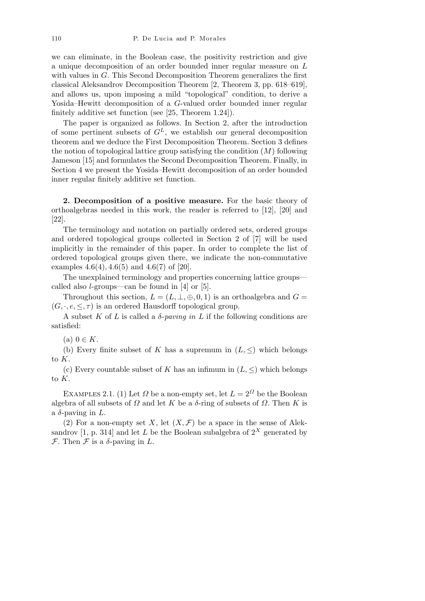we can eliminate, in the Boolean case, the positivity restriction and give a unique decomposition of an order bounded inner regular measure on *L* with values in *G.* This Second Decomposition Theorem generalizes the first classical Aleksandrov Decomposition Theorem [2, Theorem 3, pp. 618–619], and allows us, upon imposing a mild "topological" condition, to derive a Yosida–Hewitt decomposition of a *G*-valued order bounded inner regular finitely additive set function (see [25, Theorem 1*.*24]).

The paper is organized as follows. In Section 2, after the introduction of some pertinent subsets of  $G^L$ , we establish our general decomposition theorem and we deduce the First Decomposition Theorem. Section 3 defines the notion of topological lattice group satisfying the condition (*M*) following Jameson [15] and formulates the Second Decomposition Theorem. Finally, in Section 4 we present the Yosida–Hewitt decomposition of an order bounded inner regular finitely additive set function.

**2. Decomposition of a positive measure.** For the basic theory of orthoalgebras needed in this work, the reader is referred to [12], [20] and [22].

The terminology and notation on partially ordered sets, ordered groups and ordered topological groups collected in Section 2 of [7] will be used implicitly in the remainder of this paper. In order to complete the list of ordered topological groups given there, we indicate the non-commutative examples 4*.*6(4)*,* 4*.*6(5) and 4*.*6(7) of [20].

The unexplained terminology and properties concerning lattice groups called also *l*-groups—can be found in [4] or [5].

Throughout this section,  $L = (L, \perp, \oplus, 0, 1)$  is an orthoalgebra and  $G =$  $(G, \cdot, e, \leq, \tau)$  is an ordered Hausdorff topological group.

A subset  $K$  of  $L$  is called a  $\delta$ - $\mathit{paving in } L$  if the following conditions are satisfied:

 $(a) 0 \in K$ .

(b) Every finite subset of *K* has a supremum in  $(L, \leq)$  which belongs to *K*.

(c) Every countable subset of *K* has an infimum in  $(L, \leq)$  which belongs to *K*.

EXAMPLES 2.1. (1) Let  $\Omega$  be a non-empty set, let  $L = 2^{\Omega}$  be the Boolean algebra of all subsets of  $\Omega$  and let  $K$  be a  $\delta$ -ring of subsets of  $\Omega$ . Then  $K$  is a  $\delta$ -paving in  $L$ .

(2) For a non-empty set *X*, let  $(X, \mathcal{F})$  be a space in the sense of Aleksandrov [1, p. 314] and let *L* be the Boolean subalgebra of  $2^X$  generated by  $\mathcal F$ . Then  $\mathcal F$  is a  $\delta$ -paving in  $L$ .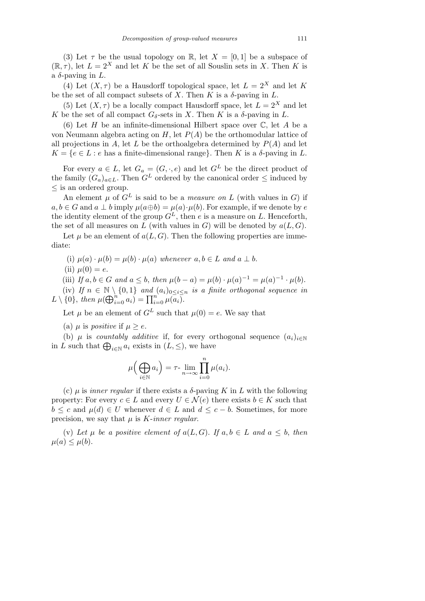(3) Let  $\tau$  be the usual topology on R, let  $X = [0, 1]$  be a subspace of  $(\mathbb{R}, \tau)$ , let  $L = 2^X$  and let *K* be the set of all Souslin sets in *X*. Then *K* is a  $\delta$ -paving in  $L$ .

(4) Let  $(X, \tau)$  be a Hausdorff topological space, let  $L = 2^X$  and let K be the set of all compact subsets of  $X$ . Then  $K$  is a  $\delta$ -paving in  $L$ .

(5) Let  $(X, \tau)$  be a locally compact Hausdorff space, let  $L = 2^X$  and let *K* be the set of all compact  $G_{\delta}$ -sets in *X*. Then *K* is a  $\delta$ -paving in *L*.

(6) Let *H* be an infinite-dimensional Hilbert space over C, let *A* be a von Neumann algebra acting on  $H$ , let  $P(A)$  be the orthomodular lattice of all projections in *A*, let *L* be the orthoalgebra determined by  $P(A)$  and let  $K = \{e \in L : e \text{ has a finite-dimensional range}\}.$  Then *K* is a *δ*-paving in *L*.

For every  $a \in L$ , let  $G_a = (G, \cdot, e)$  and let  $G^L$  be the direct product of the family  $(G_a)_{a \in L}$ . Then  $G^L$  ordered by the canonical order  $\leq$  induced by *≤* is an ordered group.

An element  $\mu$  of  $G^L$  is said to be a *measure on*  $L$  (with values in  $G$ ) if  $a, b \in G$  and  $a \perp b$  imply  $\mu(a \oplus b) = \mu(a) \cdot \mu(b)$ . For example, if we denote by *e* the identity element of the group  $G^L$ , then *e* is a measure on *L*. Henceforth, the set of all measures on  $L$  (with values in  $G$ ) will be denoted by  $a(L, G)$ .

Let  $\mu$  be an element of  $a(L, G)$ . Then the following properties are immediate:

(i)  $\mu(a) \cdot \mu(b) = \mu(b) \cdot \mu(a)$  whenever  $a, b \in L$  and  $a \perp b$ .

(ii)  $\mu(0) = e$ .

(iii) If  $a, b \in G$  and  $a \leq b$ , then  $\mu(b-a) = \mu(b) \cdot \mu(a)^{-1} = \mu(a)^{-1} \cdot \mu(b)$ .

(iv) If  $n \in \mathbb{N} \setminus \{0,1\}$  and  $(a_i)_{0 \leq i \leq n}$  is a finite orthogonal sequence in  $L \setminus \{0\}$ , *then*  $\mu(\bigoplus_{i=0}^{n} a_i) = \prod_{i=0}^{n} \mu(a_i)$ .

Let  $\mu$  be an element of  $G^L$  such that  $\mu(0) = e$ . We say that

(a)  $\mu$  is *positive* if  $\mu > e$ .

(b)  $\mu$  is *countably additive* if, for every orthogonal sequence  $(a_i)_{i \in \mathbb{N}}$ (b)  $\mu$  is *countably diduttive* in, for every or<br>in *L* such that  $\bigoplus_{i\in\mathbb{N}} a_i$  exists in  $(L, \leq)$ , we have

$$
\mu\Big(\bigoplus_{i\in\mathbb{N}}a_i\Big)=\tau\text{-}\lim_{n\to\infty}\prod_{i=0}^n\mu(a_i).
$$

(c) *µ* is *inner regular* if there exists a *δ*-paving *K* in *L* with the following property: For every  $c \in L$  and every  $U \in \mathcal{N}(e)$  there exists  $b \in K$  such that *b*  $\leq$  *c* and  $\mu(d) \in U$  whenever  $d \in L$  and  $d \leq c - b$ . Sometimes, for more precision, we say that *µ* is *K*-*inner regular*.

(v) Let  $\mu$  be a positive element of  $a(L, G)$ . If  $a, b \in L$  and  $a \leq b$ , then  $\mu(a) \leq \mu(b)$ .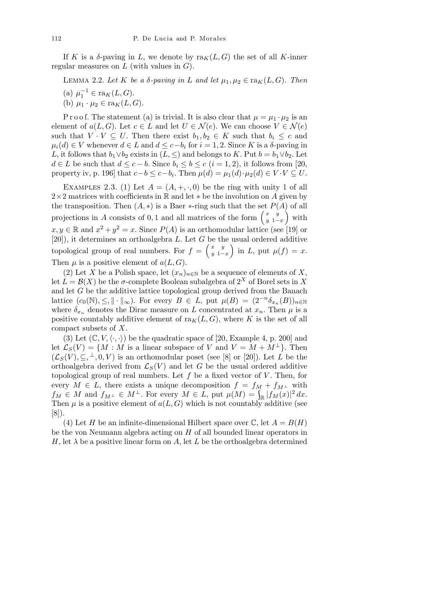If *K* is a *δ*-paving in *L*, we denote by  $\text{ra}_K(L, G)$  the set of all *K*-inner regular measures on *L* (with values in *G*).

Lemma 2.2. *Let K be a δ-paving in L and let µ*1*, µ*<sup>2</sup> *∈* ra*K*(*L, G*)*. Then*

- (a)  $\mu_1^{-1} \in \text{ra}_K(L, G)$ .
- (b)  $\mu_1 \cdot \mu_2 \in \text{ra}_K(L, G)$ .

P r o o f. The statement (a) is trivial. It is also clear that  $\mu = \mu_1 \cdot \mu_2$  is an element of  $a(L, G)$ . Let  $c \in L$  and let  $U \in \mathcal{N}(e)$ . We can choose  $V \in \mathcal{N}(e)$ such that  $V \cdot V \subseteq U$ . Then there exist  $b_1, b_2 \in K$  such that  $b_i \leq c$  and  $\mu_i(d) \in V$  whenever  $d \in L$  and  $d \leq c - b_i$  for  $i = 1, 2$ . Since *K* is a *δ*-paving in *L*, it follows that  $b_1 \vee b_2$  exists in  $(L, \leq)$  and belongs to *K*. Put  $b = b_1 \vee b_2$ . Let *d* ∈ *L* be such that  $d \leq c - b$ . Since  $b_i \leq b \leq c$  ( $i = 1, 2$ ), it follows from [20, property iv, p. 196] that  $c - b \leq c - b_i$ . Then  $\mu(d) = \mu_1(d) \cdot \mu_2(d) \in V \cdot V \subseteq U$ .

EXAMPLES 2.3. (1) Let  $A = (A, +, \cdot, 0)$  be the ring with unity 1 of all 2*×*2 matrices with coefficients in R and let *∗* be the involution on *A* given by the transposition. Then  $(A, *)$  is a Baer *∗*-ring such that the set  $P(A)$  of all the transposition. Then  $(A, *)$  is a Baer  $*$ -ring such that the set  $P(\text{projections in } A \text{ consists of } 0, 1 \text{ and all matrices of the form } \begin{pmatrix} x & y \\ y & 1 \end{pmatrix}$  $\frac{x}{y-1-x}$  with  $x, y \in \mathbb{R}$  and  $x^2 + y^2 = x$ . Since  $P(A)$  is an orthomodular lattice (see [19] or [20]), it determines an orthoalgebra *L*. Let  $G$  be the usual ordered additive topological group of real numbers. For  $f = \begin{pmatrix} x & y \\ y & 1 \end{pmatrix}$  $\left(\begin{array}{c} x & y \\ y & 1-x \end{array}\right)$  in *L*, put  $\mu(f) = x$ . Then  $\mu$  is a positive element of  $a(L, G)$ .

(2) Let *X* be a Polish space, let  $(x_n)_{n\in\mathbb{N}}$  be a sequence of elements of *X*, let  $L = \mathcal{B}(X)$  be the *σ*-complete Boolean subalgebra of  $2^X$  of Borel sets in X and let *G* be the additive lattice topological group derived from the Banach lattice  $(c_0(\mathbb{N}), \leq, \|\cdot\|_{\infty})$ . For every  $B \in L$ , put  $\mu(B) = (2^{-n} \delta_{x_n}(B))_{n \in \mathbb{N}}$ where  $\delta_{x_n}$  denotes the Dirac measure on *L* concentrated at  $x_n$ . Then  $\mu$  is a positive countably additive element of  $\text{ra}_K(L, G)$ , where K is the set of all compact subsets of *X*.

(3) Let  $(\mathbb{C}, V, \langle \cdot, \cdot \rangle)$  be the quadratic space of [20, Example 4, p. 200] and let  $\mathcal{L}_S(V) = \{M : M \text{ is a linear subspace of } V \text{ and } V = M + M^{\perp}\}.$  Then  $(\mathcal{L}_S(V), \subseteq, \perp, 0, V)$  is an orthomodular poset (see [8] or [20]). Let *L* be the orthoalgebra derived from  $\mathcal{L}_S(V)$  and let G be the usual ordered additive topological group of real numbers. Let *f* be a fixed vector of *V* . Then, for every  $M \in L$ , there exists a unique decomposition  $f = f_M + f_{M^{\perp}}$  with  $f_M \in M$  and  $f_{M^{\perp}} \in M^{\perp}$ . For every  $M \in L$ , put  $\mu(M) = \int_{\mathbb{R}} |f_M(x)|^2 dx$ . Then  $\mu$  is a positive element of  $a(L, G)$  which is not countably additive (see [8]).

(4) Let *H* be an infinite-dimensional Hilbert space over  $\mathbb{C}$ , let  $A = B(H)$ be the von Neumann algebra acting on *H* of all bounded linear operators in *H*, let  $\lambda$  be a positive linear form on *A*, let *L* be the orthoalgebra determined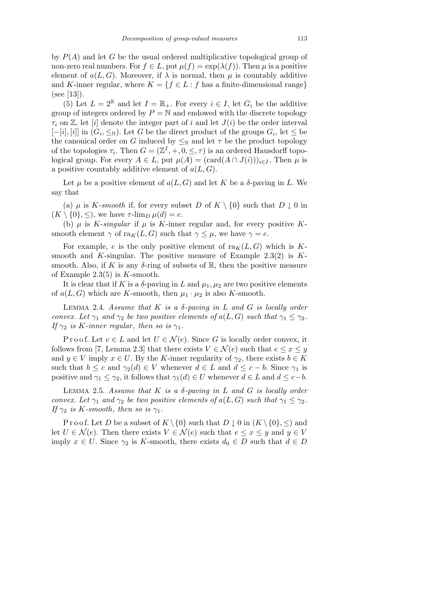by *P*(*A*) and let *G* be the usual ordered multiplicative topological group of non-zero real numbers. For  $f \in L$ , put  $\mu(f) = \exp(\lambda(f))$ . Then  $\mu$  is a positive element of  $a(L, G)$ . Moreover, if  $\lambda$  is normal, then  $\mu$  is countably additive and *K*-inner regular, where  $K = \{f \in L : f \text{ has a finite-dimensional range}\}\$  $(see [13]).$ 

(5) Let  $L = 2^{\mathbb{R}}$  and let  $I = \mathbb{R}_{+}$ . For every  $i \in I$ , let  $G_i$  be the additive group of integers ordered by  $P = N$  and endowed with the discrete topology  $\tau_i$  on  $\mathbb{Z}$ , let *ii* denote the integer part of *i* and let  $J(i)$  be the order interval  $[-[i], [i]]$  in  $(G_i, \leq_N)$ . Let *G* be the direct product of the groups  $G_i$ , let ≤ be the canonical order on *G* induced by  $\leq_N$  and let  $\tau$  be the product topology of the topologies  $\tau_i$ . Then  $G = (\mathbb{Z}^I, +, 0, \leq, \tau)$  is an ordered Hausdorff topological group. For every  $A \in L$ , put  $\mu(A) = (\text{card}(A \cap J(i)))_{i \in I}$ . Then  $\mu$  is a positive countably additive element of *a*(*L, G*).

Let  $\mu$  be a positive element of  $a(L, G)$  and let  $K$  be a  $\delta$ -paving in  $L$ . We say that

(a)  $\mu$  is *K*-*smooth* if, for every subset *D* of  $K \setminus \{0\}$  such that *D*  $\downarrow$  0 in  $(K \setminus \{0\}, \leq),$  we have  $\tau$ -lim<sub>*D*</sub>  $\mu(d) = e$ .

(b)  $\mu$  is *K*-*singular* if  $\mu$  is *K*-inner regular and, for every positive *K*smooth element  $\gamma$  of ra $_K(L, G)$  such that  $\gamma \leq \mu$ , we have  $\gamma = e$ .

For example, *e* is the only positive element of  $ra_K(L, G)$  which is Ksmooth and *K*-singular. The positive measure of Example 2*.*3(2) is *K*smooth. Also, if K is any  $\delta$ -ring of subsets of R, then the positive measure of Example 2*.*3(5) is *K*-smooth.

It is clear that if *K* is a  $\delta$ -paving in *L* and  $\mu_1, \mu_2$  are two positive elements of  $a(L, G)$  which are *K*-smooth, then  $\mu_1 \cdot \mu_2$  is also *K*-smooth.

Lemma 2.4. *Assume that K is a δ-paving in L and G is locally order convex. Let*  $\gamma_1$  *and*  $\gamma_2$  *be two positive elements of*  $a(L, G)$  *such that*  $\gamma_1 \leq \gamma_2$ *. If*  $\gamma_2$  *is K-inner regular*, *then so is*  $\gamma_1$ *.* 

Proof. Let  $c \in L$  and let  $U \in \mathcal{N}(e)$ . Since G is locally order convex, it follows from [7, Lemma 2.3] that there exists  $V \in \mathcal{N}(e)$  such that  $e \leq x \leq y$ and  $y \in V$  imply  $x \in U$ . By the *K*-inner regularity of  $\gamma_2$ , there exists  $b \in K$ such that  $b \leq c$  and  $\gamma_2(d) \in V$  whenever  $d \in L$  and  $d \leq c - b$ . Since  $\gamma_1$  is positive and  $\gamma_1 \leq \gamma_2$ , it follows that  $\gamma_1(d) \in U$  whenever  $d \in L$  and  $d \leq c - b$ .

Lemma 2.5. *Assume that K is a δ-paving in L and G is locally order convex. Let*  $\gamma_1$  *and*  $\gamma_2$  *be two positive elements of*  $a(L, G)$  *such that*  $\gamma_1 \leq \gamma_2$ *. If*  $\gamma_2$  *is K-smooth*, *then so is*  $\gamma_1$ *.* 

Proof. Let *D* be a subset of  $K \setminus \{0\}$  such that  $D \downarrow 0$  in  $(K \setminus \{0\}, \leq)$  and let  $U \in \mathcal{N}(e)$ . Then there exists  $V \in \mathcal{N}(e)$  such that  $e \leq x \leq y$  and  $y \in V$ imply  $x \in U$ . Since  $\gamma_2$  is *K*-smooth, there exists  $d_0 \in D$  such that  $d \in D$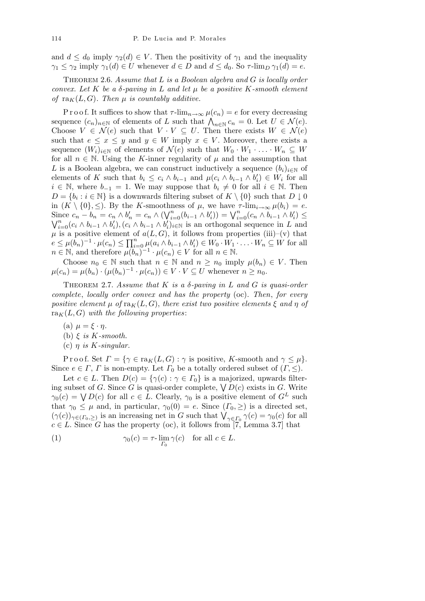and  $d \leq d_0$  imply  $\gamma_2(d) \in V$ . Then the positivity of  $\gamma_1$  and the inequality *γ*<sub>1</sub>  $\leq$  *γ*<sub>2</sub> imply *γ*<sub>1</sub>(*d*)  $\in$  *U* whenever *d*  $\in$  *D* and *d*  $\leq$  *d*<sub>0</sub>. So *τ*-lim<sub>*D*</sub> *γ*<sub>1</sub>(*d*) = *e*.

Theorem 2.6. *Assume that L is a Boolean algebra and G is locally order convex. Let K be a δ-paving in L and let µ be a positive K-smooth element of*  $\text{ra}_K(L, G)$ *. Then*  $\mu$  *is countably additive.* 

P r o o f. It suffices to show that  $\tau$ -lim<sub> $n \to \infty$ </sub>  $\mu(c_n) = e$  for every decreasing sequence  $(c_n)_{n \in \mathbb{N}}$  of elements of *L* such that  $\bigwedge_{n \in \mathbb{N}} c_n = 0$ . Let  $U \in \mathcal{N}(e)$ . Choose  $V \in \mathcal{N}(e)$  such that  $V \cdot V \subseteq U$ . Then there exists  $W \in \mathcal{N}(e)$ such that  $e \leq x \leq y$  and  $y \in W$  imply  $x \in V$ . Moreover, there exists a sequence  $(W_i)_{i \in \mathbb{N}}$  of elements of  $\mathcal{N}(e)$  such that  $W_0 \cdot W_1 \cdot \ldots \cdot W_n \subseteq W$ for all  $n \in \mathbb{N}$ . Using the *K*-inner regularity of  $\mu$  and the assumption that *L* is a Boolean algebra, we can construct inductively a sequence  $(b_i)_{i \in \mathbb{N}}$  of elements of K such that  $b_i \leq c_i \wedge b_{i-1}$  and  $\mu(c_i \wedge b_{i-1} \wedge b'_i) \in W_i$  for all *i* ∈ N, where  $b_{-1} = 1$ . We may suppose that  $b_i \neq 0$  for all  $i \in \mathbb{N}$ . Then  $D = \{b_i : i \in \mathbb{N}\}\$ is a downwards filtering subset of  $K \setminus \{0\}$  such that  $D \downarrow 0$ in  $(K \setminus \{0\}, \leq)$ . By the *K*-smoothness of  $\mu$ , we have  $\tau$ -lim<sub>*i*→∞</sub>  $\mu(b_i) = e$ . Since  $c_n - b_n = c_n \wedge b'_n = c_n \wedge ($ W*<sup>n</sup> i*<sup>*n*</sup></sup> (*b*<sub>*i*</sub></sub> *b*<sub>*i*</sub> *b*<sub>*i*</sub> *b*<sub>*i*</sub> *c*<sub>*n*</sub>  $\wedge$  *b*<sub>*i*</sub><sup>*n*</sup> = *c<sub>n</sub>*  $\wedge$  *b*<sub>*i*</sub><sup>*n*</sup> = *c<sub>n</sub>*  $\wedge$  ( $\vee$ <sub>*i*</sub><sup>*n*</sup> = *c<sub>n</sub>*  $\wedge$  *b*<sub>*i*</sub><sup>*n*</sup> ( $\vee$  *j*<sub>*i*</sub><sup>*n*</sup> =  $\wedge$  *b*<sub>*i*</sub><sup>*n*</sup> ( $\vee$  *j*  $_{i=0}^{n}(c_i \wedge b_{i-1} \wedge b'_i), (c_i \wedge b_{i-1} \wedge b'_i)_{i \in \mathbb{N}}$  is an orthogonal sequence in L and  $\mu$  is a positive element of  $a(L, G)$ , it follows from properties (iii)–(v) that  $e \leq \mu(b_n)^{-1} \cdot \mu(c_n) \leq \prod_{i=0}^n \mu(a_i \wedge b_{i-1} \wedge b'_i) \in W_0 \cdot W_1 \cdot \ldots \cdot W_n \subseteq W$  for all  $n \in \mathbb{N}$ , and therefore  $\mu(b_n)^{-1} \cdot \mu(c_n) \in V$  for all  $n \in \mathbb{N}$ .

Choose  $n_0 \in \mathbb{N}$  such that  $n \in \mathbb{N}$  and  $n \geq n_0$  imply  $\mu(b_n) \in V$ . Then  $\mu(c_n) = \mu(b_n) \cdot (\mu(b_n)^{-1} \cdot \mu(c_n)) \in V \cdot V \subseteq U$  whenever  $n \geq n_0$ .

THEOREM 2.7. *Assume that*  $K$  *is a*  $\delta$ -paving in  $L$  and  $G$  *is quasi-order complete*, *locally order convex and has the property* (oc). *Then*, *for every positive element*  $\mu$  *of*  $\text{ra}_K(L, G)$ , *there exist two positive elements*  $\xi$  *and*  $\eta$  *of*  $ra_K(L, G)$  *with the following properties:* 

- $(\text{a}) \mu = \xi \cdot \eta$ .
- (b) *ξ is K-smooth.*
- (c) *η is K-singular.*

Proof. Set  $\Gamma = {\gamma \in \text{ra}_K(L, G) : \gamma \text{ is positive, } K\text{-smooth and } \gamma \leq \mu}.$ Since  $e \in \Gamma$ ,  $\Gamma$  is non-empty. Let  $\Gamma_0$  be a totally ordered subset of  $(\Gamma, \leq)$ .

Let  $c \in L$ . Then  $D(c) = \{\gamma(c) : \gamma \in \Gamma_0\}$  is a majorized, upwards filter-Let  $c \in L$ . Then  $D(c) = \{ \gamma(c) : \gamma \in T_0 \}$  is a majorized, upwards inter-<br>ing subset of *G*. Since *G* is quasi-order complete,  $\bigvee D(c)$  exists in *G*. Write *γ*<sub>0</sub>(*c*) =  $\bigvee D(c)$  for all *c*  $\in$  *L*. Clearly, *γ*<sub>0</sub> is a positive element of *G*<sup>*L*</sup> such that  $\gamma_0 \leq \mu$  and, in particular,  $\gamma_0(0) = e$ . Since  $(\Gamma_0, \geq)$  is a directed set,  $(\gamma(c))_{\gamma \in (\Gamma_0, \geq)}$  is an increasing net in *G* such that  $\bigvee_{\gamma \in \Gamma_0} \gamma(c) = \gamma_0(c)$  for all  $c \in L$ . Since *G* has the property (oc), it follows from [7, Lemma 3.7] that

(1) 
$$
\gamma_0(c) = \tau \cdot \lim_{\Gamma_0} \gamma(c) \quad \text{for all } c \in L.
$$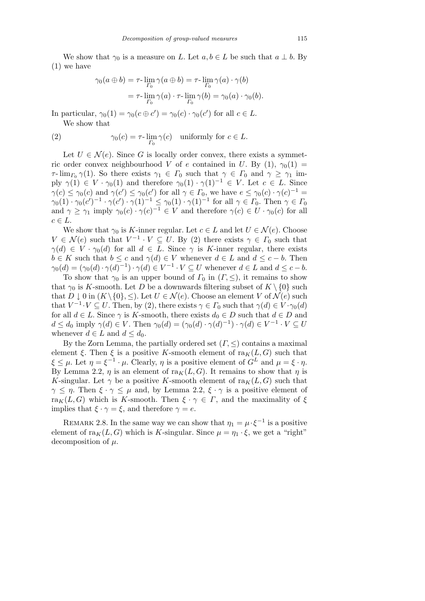We show that  $\gamma_0$  is a measure on *L*. Let  $a, b \in L$  be such that  $a \perp b$ . By (1) we have

$$
\gamma_0(a \oplus b) = \tau \cdot \lim_{\Gamma_0} \gamma(a \oplus b) = \tau \cdot \lim_{\Gamma_0} \gamma(a) \cdot \gamma(b)
$$

$$
= \tau \cdot \lim_{\Gamma_0} \gamma(a) \cdot \tau \cdot \lim_{\Gamma_0} \gamma(b) = \gamma_0(a) \cdot \gamma_0(b).
$$

In particular,  $\gamma_0(1) = \gamma_0(c \oplus c') = \gamma_0(c) \cdot \gamma_0(c')$  for all  $c \in L$ . We show that

(2) 
$$
\gamma_0(c) = \tau \cdot \lim_{\Gamma_0} \gamma(c) \quad \text{uniformly for } c \in L.
$$

Let  $U \in \mathcal{N}(e)$ . Since G is locally order convex, there exists a symmetric order convex neighbourhood *V* of *e* contained in *U*. By (1),  $\gamma_0(1)$  = *τ*- $\lim_{\Gamma_0} \gamma(1)$ . So there exists  $\gamma_1 \in \Gamma_0$  such that  $\gamma \in \Gamma_0$  and  $\gamma \geq \gamma_1$  imply  $\gamma(1) \in V \cdot \gamma_0(1)$  and therefore  $\gamma_0(1) \cdot \gamma(1)^{-1} \in V$ . Let  $c \in L$ . Since  $\gamma(c) \leq \gamma_0(c)$  and  $\gamma(c') \leq \gamma_0(c')$  for all  $\gamma \in \Gamma_0$ , we have  $e \leq \gamma_0(c) \cdot \gamma(c)^{-1} =$  $\gamma_0(1) \cdot \gamma_0(c')^{-1} \cdot \gamma(c') \cdot \gamma(1)^{-1} \leq \gamma_0(1) \cdot \gamma(1)^{-1}$  for all  $\gamma \in \Gamma_0$ . Then  $\gamma \in \Gamma_0$ and  $\gamma \geq \gamma_1$  imply  $\gamma_0(c) \cdot \gamma(c)^{-1} \in V$  and therefore  $\gamma(c) \in U \cdot \gamma_0(c)$  for all  $c \in L$ .

We show that  $\gamma_0$  is *K*-inner regular. Let  $c \in L$  and let  $U \in \mathcal{N}(e)$ . Choose  $V \in \mathcal{N}(e)$  such that  $V^{-1} \cdot V \subseteq U$ . By (2) there exists  $\gamma \in \Gamma_0$  such that  $\gamma(d) \in V \cdot \gamma_0(d)$  for all  $d \in L$ . Since  $\gamma$  is *K*-inner regular, there exists  $b \in K$  such that  $b \leq c$  and  $\gamma(d) \in V$  whenever  $d \in L$  and  $d \leq c - b$ . Then  $\gamma_0(d) = (\gamma_0(d) \cdot \gamma(d)^{-1}) \cdot \gamma(d) \in V^{-1} \cdot V \subseteq U$  whenever  $d \in L$  and  $d \leq c - b$ .

To show that  $\gamma_0$  is an upper bound of  $\Gamma_0$  in  $(\Gamma, \leq)$ , it remains to show that  $\gamma_0$  is *K*-smooth. Let *D* be a downwards filtering subset of  $K \setminus \{0\}$  such that  $D \downarrow 0$  in  $(K \setminus \{0\}, \leq)$ . Let  $U \in \mathcal{N}(e)$ . Choose an element  $V$  of  $\mathcal{N}(e)$  such that  $V^{-1} \cdot V \subseteq U$ . Then, by (2), there exists  $\gamma \in \Gamma_0$  such that  $\gamma(d) \in V \cdot \gamma_0(d)$ for all  $d \in L$ . Since  $\gamma$  is *K*-smooth, there exists  $d_0 \in D$  such that  $d \in D$  and  $d \leq d_0$  imply  $\gamma(d) \in V$ . Then  $\gamma_0(d) = (\gamma_0(d) \cdot \gamma(d)^{-1}) \cdot \gamma(d) \in V^{-1} \cdot V \subseteq U$ whenever  $d \in L$  and  $d \leq d_0$ .

By the Zorn Lemma, the partially ordered set (*Γ, ≤*) contains a maximal element  $\xi$ . Then  $\xi$  is a positive *K*-smooth element of ra $K(L, G)$  such that  $\xi \leq \mu$ . Let  $\eta = \xi^{-1} \cdot \mu$ . Clearly,  $\eta$  is a positive element of  $G^L$  and  $\mu = \xi \cdot \eta$ . By Lemma 2.2,  $\eta$  is an element of ra $_K(L, G)$ . It remains to show that  $\eta$  is *K*-singular. Let  $\gamma$  be a positive *K*-smooth element of ra $_K(L, G)$  such that *γ*  $\leq$  *η*. Then  $\xi \cdot \gamma \leq \mu$  and, by Lemma 2.2,  $\xi \cdot \gamma$  is a positive element of ra<sub>K</sub>(*L, G*) which is *K*-smooth. Then  $\xi \cdot \gamma \in \Gamma$ , and the maximality of  $\xi$ implies that  $\xi \cdot \gamma = \xi$ , and therefore  $\gamma = e$ .

REMARK 2.8. In the same way we can show that  $\eta_1 = \mu \cdot \xi^{-1}$  is a positive element of  $\text{ra}_K(L, G)$  which is *K*-singular. Since  $\mu = \eta_1 \cdot \xi$ , we get a "right" decomposition of *µ*.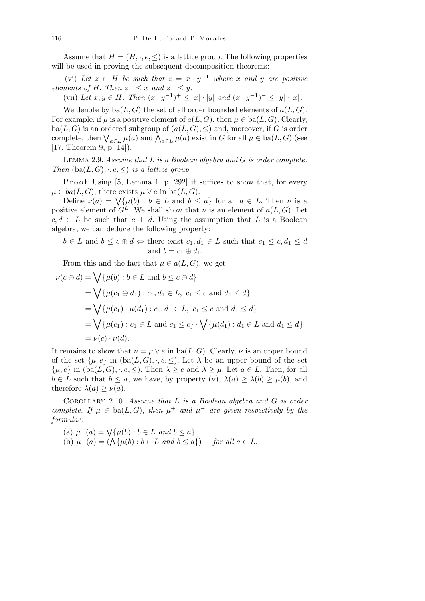Assume that  $H = (H, \cdot, e, \leq)$  is a lattice group. The following properties will be used in proving the subsequent decomposition theorems:

(vi) Let  $z \in H$  be such that  $z = x \cdot y^{-1}$  where x and y are positive *elements of H. Then*  $z^+ \leq x$  *and*  $z^- \leq y$ .

(vii) Let  $x, y \in H$ . Then  $(x \cdot y^{-1})^+ \le |x| \cdot |y|$  and  $(x \cdot y^{-1})^- \le |y| \cdot |x|$ .

We denote by  $ba(L, G)$  the set of all order bounded elements of  $a(L, G)$ . For example, if  $\mu$  is a positive element of  $a(L, G)$ , then  $\mu \in ba(L, G)$ . Clearly, ba( $L, G$ ) is an ordered subgroup of  $(a(L, G), \leq)$  and, moreover, if G is order  $\alpha$ <sup>*C*</sup>,  $G$ ) is an ordered subgroup of  $(a, L, G)$ ,  $\leq$ ) and, moreover, if *G* is order<br>complete, then  $\bigvee_{a \in L} \mu(a)$  and  $\bigwedge_{a \in L} \mu(a)$  exist in *G* for all  $\mu \in ba(L, G)$  (see [17, Theorem 9, p. 14]).

Lemma 2.9. *Assume that L is a Boolean algebra and G is order complete. Then*  $(ba(L, G), \cdot, e, \leq)$  *is a lattice group.* 

P r o o f. Using [5, Lemma 1, p. 292] it suffices to show that, for every  $\mu \in ba(L, G)$ , there exists  $\mu \vee e$  in ba(*L*, *G*).

 $\omega(a|L, G)$ , there exists  $\mu \vee e$  in  $ba(L, G)$ .<br>Define  $\nu(a) = \sqrt{\{\mu(b) : b \in L \text{ and } b \leq a\}}$  for all  $a \in L$ . Then  $\nu$  is a positive element of  $G^L$ . We shall show that  $\nu$  is an element of  $a(L, G)$ . Let  $c, d \in L$  be such that  $c \perp d$ . Using the assumption that *L* is a Boolean algebra, we can deduce the following property:

$$
b \in L
$$
 and  $b \le c \oplus d \Leftrightarrow$  there exist  $c_1, d_1 \in L$  such that  $c_1 \le c, d_1 \le d$   
and  $b = c_1 \oplus d_1$ .

From this and the fact that  $\mu \in a(L, G)$ , we get

$$
\nu(c \oplus d) = \bigvee \{ \mu(b) : b \in L \text{ and } b \le c \oplus d \}
$$
  
=  $\bigvee \{ \mu(c_1 \oplus d_1) : c_1, d_1 \in L, c_1 \le c \text{ and } d_1 \le d \}$   
=  $\bigvee \{ \mu(c_1) \cdot \mu(d_1) : c_1, d_1 \in L, c_1 \le c \text{ and } d_1 \le d \}$   
=  $\bigvee \{ \mu(c_1) : c_1 \in L \text{ and } c_1 \le c \} \cdot \bigvee \{ \mu(d_1) : d_1 \in L \text{ and } d_1 \le d \}$   
=  $\nu(c) \cdot \nu(d).$ 

It remains to show that  $\nu = \mu \vee e$  in ba(*L, G*). Clearly,  $\nu$  is an upper bound of the set  $\{\mu, e\}$  in  $(ba(L, G), \cdot, e, \leq)$ . Let  $\lambda$  be an upper bound of the set  $\{\mu, e\}$  in  $(ba(L, G), \cdot, e, \leq)$ . Then  $\lambda \geq e$  and  $\lambda \geq \mu$ . Let  $a \in L$ . Then, for all  $b \in L$  such that  $b \le a$ , we have, by property (v),  $\lambda(a) \ge \lambda(b) \ge \mu(b)$ , and therefore  $\lambda(a) \geq \nu(a)$ .

Corollary 2.10. *Assume that L is a Boolean algebra and G is order complete. If*  $\mu \in ba(L, G)$ , then  $\mu^+$  and  $\mu^-$  are given respectively by the *formulae*:

(a) 
$$
\mu^+(a) = \bigvee \{ \mu(b) : b \in L \text{ and } b \le a \}
$$
  
(b)  $\mu^-(a) = (\bigwedge \{ \mu(b) : b \in L \text{ and } b \le a \})^{-1}$  for all  $a \in L$ .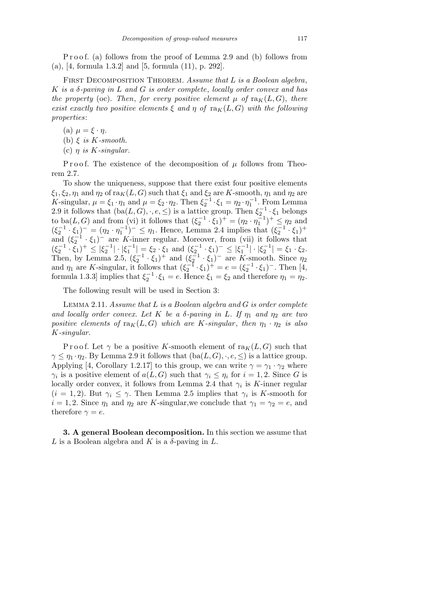P r o o f. (a) follows from the proof of Lemma 2.9 and (b) follows from (a), [4, formula 1*.*3*.*2] and [5, formula (11), p. 292].

First Decomposition Theorem. *Assume that L is a Boolean algebra*, *K is a δ-paving in L and G is order complete*, *locally order convex and has the property* (oc). *Then, for every positive element*  $\mu$  *of*  $\text{ra}_K(L, G)$ *, there exist exactly two positive elements*  $\xi$  *and*  $\eta$  *of*  $\text{ra}_K(L, G)$  *with the following properties*:

 $(a)$   $\mu = \xi \cdot \eta$ .

(b) *ξ is K-smooth.*

(c)  $\eta$  *is K*-singular.

Proof. The existence of the decomposition of  $\mu$  follows from Theorem 2*.*7.

To show the uniqueness, suppose that there exist four positive elements  $\xi_1, \xi_2, \eta_1$  and  $\eta_2$  of ra $_K(L, G)$  such that  $\xi_1$  and  $\xi_2$  are *K*-smooth,  $\eta_1$  and  $\eta_2$  are *K*-singular,  $\mu = \xi_1 \cdot \eta_1$  and  $\mu = \xi_2 \cdot \eta_2$ . Then  $\xi_2^{-1} \cdot \xi_1 = \eta_2 \cdot \eta_1^{-1}$ . From Lemma 2.9 it follows that  $(ba(L, G), \cdot, e, \leq)$  is a lattice group. Then  $\xi_2^{-1} \cdot \xi_1$  belongs to ba(*L*, *G*) and from (vi) it follows that  $(\xi_2^{-1} \cdot \xi_1)^+ = (\eta_2 \cdot \eta_1^{-1})^+ \le \eta_2$  and  $(\xi_2^{-1} \cdot \xi_1)^{-} = (\eta_2 \cdot \eta_1^{-1})^{-} \leq \eta_1$ . Hence, Lemma 2.4 implies that  $(\xi_2^{-1} \cdot \xi_1)^{+}$ and  $(\xi_2^{-1} \cdot \xi_1)^-$  are *K*-inner regular. Moreover, from (vii) it follows that  $(\xi_2^{-1} \cdot \xi_1)^+ \leq |\xi_2^{-1}| \cdot |\xi_1^{-1}| = \xi_2 \cdot \xi_1$  and  $(\xi_2^{-1} \cdot \xi_1)^- \leq |\xi_1^{-1}| \cdot |\xi_2^{-1}| = \xi_1 \cdot \xi_2$ . Then, by Lemma 2.5,  $(\xi_2^{-1} \cdot \xi_1)^+$  and  $(\xi_2^{-1} \cdot \xi_1)^-$  are *K*-smooth. Since  $\eta_2$ and  $\eta_1$  are *K*-singular, it follows that  $(\xi_2^{-1} \cdot \xi_1)^+ = e = (\xi_2^{-1} \cdot \xi_1)^-$ . Then [4, formula 1.3.3] implies that  $\xi_2^{-1} \cdot \xi_1 = e$ . Hence  $\xi_1 = \xi_2$  and therefore  $\eta_1 = \eta_2$ .

The following result will be used in Section 3:

Lemma 2.11. *Assume that L is a Boolean algebra and G is order complete and locally order convex. Let*  $K$  *be a*  $\delta$ -paving in  $L$ *. If*  $\eta_1$  *and*  $\eta_2$  *are two positive elements of*  $\text{ra}_K(L, G)$  *which are K-singular*, *then*  $\eta_1 \cdot \eta_2$  *is also K-singular.*

Proof. Let  $\gamma$  be a positive *K*-smooth element of ra $_K(L, G)$  such that  $\gamma \leq \eta_1 \cdot \eta_2$ . By Lemma 2.9 it follows that  $(ba(L, G), \cdot, e, \leq)$  is a lattice group. Applying [4, Corollary 1.2.17] to this group, we can write  $\gamma = \gamma_1 \cdot \gamma_2$  where *γ*<sup>*i*</sup> is a positive element of *a*(*L, G*) such that  $\gamma_i \leq \eta_i$  for  $i = 1, 2$ . Since *G* is locally order convex, it follows from Lemma 2*.*4 that *γ<sup>i</sup>* is *K*-inner regular  $(i = 1, 2)$ . But  $\gamma_i \leq \gamma$ . Then Lemma 2.5 implies that  $\gamma_i$  is *K*-smooth for  $i = 1, 2$ . Since  $\eta_1$  and  $\eta_2$  are *K*-singular, we conclude that  $\gamma_1 = \gamma_2 = e$ , and therefore  $\gamma = e$ .

**3. A general Boolean decomposition.** In this section we assume that  $L$  is a Boolean algebra and  $K$  is a  $\delta$ -paving in  $L$ .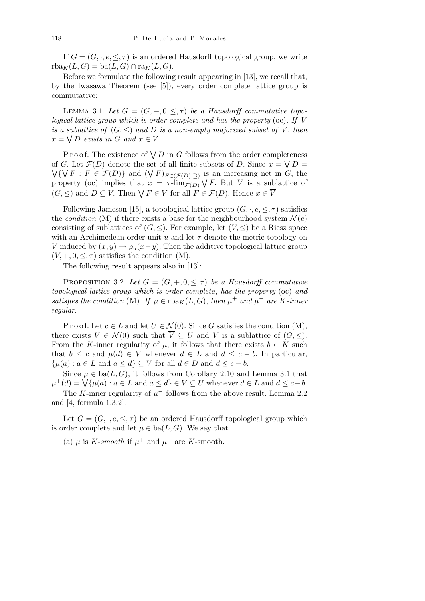If  $G = (G, \cdot, e, \leq, \tau)$  is an ordered Hausdorff topological group, we write  $rba_K(L, G) = ba(L, G) \cap ra_K(L, G).$ 

Before we formulate the following result appearing in [13], we recall that, by the Iwasawa Theorem (see [5]), every order complete lattice group is commutative:

LEMMA 3.1. Let  $G = (G, +, 0, \leq, \tau)$  be a Hausdorff commutative topo*logical lattice group which is order complete and has the property* (oc)*. If V is a sublattice of*  $(G, \leq)$  *and*  $D$  *is a non-empty majorized subset of V*, *then*  $x = \bigvee D$  *exists in G and*  $x \in \overline{V}$ .

P r o o f. The existence of  $\bigvee D$  in *G* follows from the order completeness of *G*. Let  $\mathcal{F}(D)$  denote the set of all finite subsets of *D*. Since  $x = \bigvee D =$ *G*. Let  $\mathcal{F}(D)$  denote the set of an innte subsets of *D*. Since  $x = \sqrt{D} =$ <br>  $\{\sqrt{F} : F \in \mathcal{F}(D)\}$  and  $(\sqrt{F})_{F \in (\mathcal{F}(D), \supseteq)}$  is an increasing net in *G*, the property (oc) implies that  $x = \tau \cdot \lim_{\mathcal{F}(D)} \bigvee F$ . But *V* is a sublattice of (*G*,  $\leq$ ) and  $D \subseteq V$ . Then  $\forall F \in V$  for all  $F \in \mathcal{F}(D)$ . Hence  $x \in \overline{V}$ .

Following Jameson [15], a topological lattice group  $(G, \cdot, e, \leq, \tau)$  satisfies the *condition* (M) if there exists a base for the neighbourhood system  $\mathcal{N}(e)$ consisting of sublattices of  $(G, \leq)$ . For example, let  $(V, \leq)$  be a Riesz space with an Archimedean order unit  $u$  and let  $\tau$  denote the metric topology on *V* induced by  $(x, y) \rightarrow \varrho_u(x-y)$ . Then the additive topological lattice group  $(V, +, 0, \leq, \tau)$  satisfies the condition  $(M)$ .

The following result appears also in [13]:

PROPOSITION 3.2. Let  $G = (G, +, 0, \leq, \tau)$  be a Hausdorff commutative *topological lattice group which is order complete*, *has the property* (oc) *and satisfies the condition* (M)*. If*  $\mu \in \text{rba}_K(L, G)$ *, then*  $\mu^+$  *and*  $\mu^-$  *are K*-*inner regular.*

P r o o f. Let  $c \in L$  and let  $U \in \mathcal{N}(0)$ . Since G satisfies the condition  $(M)$ , there exists  $V \in \mathcal{N}(0)$  such that  $\overline{V} \subseteq U$  and V is a sublattice of  $(G, \leq)$ . From the *K*-inner regularity of  $\mu$ , it follows that there exists  $b \in K$  such that  $b \leq c$  and  $\mu(d) \in V$  whenever  $d \in L$  and  $d \leq c - b$ . In particular, *{* $\mu$ (*a*) : *a* ∈ *L* and *a* ≤ *d*} ⊆ *V* for all *d* ∈ *D* and *d* ≤ *c* − *b*.

Since  $\mu \in \text{ba}(L, G)$ , it follows from Corollary 2.10 and Lemma 3.1 that since  $\mu \in \text{ba}(L, G)$ , it follows from Coronary 2.10 and Lemma 3.1 that<br>  $\mu^+(d) = \bigvee \{ \mu(a) : a \in L \text{ and } a \leq d \} \in \overline{V} \subseteq U$  whenever  $d \in L$  and  $d \leq c-b$ .

The *K*-inner regularity of  $\mu^-$  follows from the above result, Lemma 2.2 and [4, formula 1*.*3*.*2].

Let  $G = (G, \cdot, e, \leq, \tau)$  be an ordered Hausdorff topological group which is order complete and let  $\mu \in ba(L, G)$ . We say that

(a)  $\mu$  is *K*-*smooth* if  $\mu^+$  and  $\mu^-$  are *K*-smooth.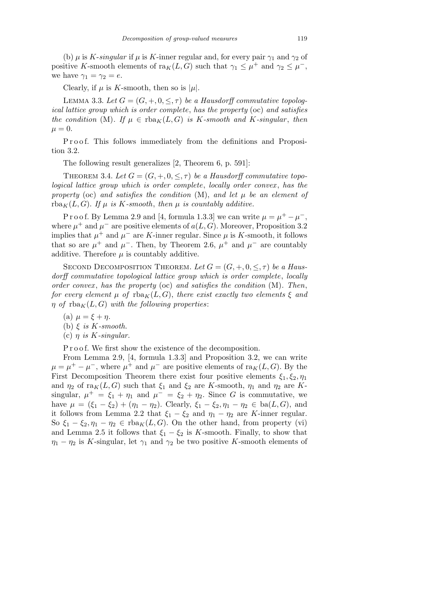(b)  $\mu$  is *K*-*singular* if  $\mu$  is *K*-inner regular and, for every pair  $\gamma_1$  and  $\gamma_2$  of positive *K*-smooth elements of  $\text{ra}_K(L, G)$  such that  $\gamma_1 \leq \mu^+$  and  $\gamma_2 \leq \mu^-$ , we have  $\gamma_1 = \gamma_2 = e$ .

Clearly, if  $\mu$  is *K*-smooth, then so is  $|\mu|$ .

LEMMA 3.3. Let  $G = (G, +, 0, \leq, \tau)$  be a Hausdorff commutative topolog*ical lattice group which is order complete*, *has the property* (oc) *and satisfies the condition* (M). If  $\mu \in \text{rba}_K(L, G)$  *is K*-smooth and *K*-singular, then  $\mu = 0.$ 

Proof. This follows immediately from the definitions and Proposition 3*.*2.

The following result generalizes [2, Theorem 6, p. 591]:

THEOREM 3.4. Let  $G = (G, +, 0, \leq, \tau)$  be a Hausdorff commutative topo*logical lattice group which is order complete*, *locally order convex* , *has the property* (oc) *and satisfies the condition* (M), *and let µ be an element of* rba<sub>K</sub> $(L, G)$ *. If*  $\mu$  *is K-smooth, then*  $\mu$  *is countably additive.* 

P r o o f. By Lemma 2.9 and [4, formula 1.3.3] we can write  $\mu = \mu^+ - \mu^-$ , where  $\mu^+$  and  $\mu^-$  are positive elements of  $a(L, G)$ . Moreover, Proposition 3.2 implies that  $\mu^+$  and  $\mu^-$  are *K*-inner regular. Since  $\mu$  is *K*-smooth, it follows that so are  $\mu^+$  and  $\mu^-$ . Then, by Theorem 2.6,  $\mu^+$  and  $\mu^-$  are countably additive. Therefore  $\mu$  is countably additive.

SECOND DECOMPOSITION THEOREM. Let  $G = (G, +, 0, \leq, \tau)$  be a Haus*dorff commutative topological lattice group which is order complete*, *locally order convex* , *has the property* (oc) *and satisfies the condition* (M)*. Then*, *for every element*  $\mu$  *of*  $\text{rba}_K(L, G)$ , *there exist exactly two elements*  $\xi$  *and η of*  $\text{rba}_K(L, G)$  *with the following properties*:

- (a)  $\mu = \xi + \eta$ .
- (b)  $\xi$  *is*  $K$ *-smooth.*
- (c) *η is K-singular.*

P r o o f. We first show the existence of the decomposition.

From Lemma 2*.*9, [4, formula 1*.*3*.*3] and Proposition 3*.*2, we can write  $\mu = \mu^+ - \mu^-$ , where  $\mu^+$  and  $\mu^-$  are positive elements of ra $_K(L, G)$ . By the First Decomposition Theorem there exist four positive elements  $\xi_1, \xi_2, \eta_1$ and  $\eta_2$  of ra $_K(L, G)$  such that  $\xi_1$  and  $\xi_2$  are *K*-smooth,  $\eta_1$  and  $\eta_2$  are *K*singular,  $\mu^+ = \xi_1 + \eta_1$  and  $\mu^- = \xi_2 + \eta_2$ . Since *G* is commutative, we have  $\mu = (\xi_1 - \xi_2) + (\eta_1 - \eta_2)$ . Clearly,  $\xi_1 - \xi_2, \eta_1 - \eta_2 \in ba(L, G)$ , and it follows from Lemma 2.2 that  $\xi_1 - \xi_2$  and  $\eta_1 - \eta_2$  are *K*-inner regular. So  $\xi_1 - \xi_2, \eta_1 - \eta_2 \in \text{rba}_K(L, G)$ . On the other hand, from property (vi) and Lemma 2.5 it follows that  $\xi_1 - \xi_2$  is *K*-smooth. Finally, to show that  $\eta_1 - \eta_2$  is *K*-singular, let  $\gamma_1$  and  $\gamma_2$  be two positive *K*-smooth elements of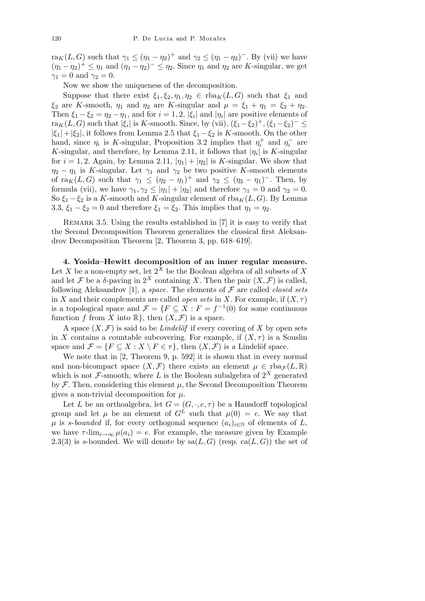ra<sub>K</sub>(*L*, *G*) such that  $\gamma_1 \leq (\eta_1 - \eta_2)^+$  and  $\gamma_2 \leq (\eta_1 - \eta_2)^-$ . By (vii) we have  $(\eta_1 - \eta_2)^+ \leq \eta_1$  and  $(\eta_1 - \eta_2)^- \leq \eta_2$ . Since  $\eta_1$  and  $\eta_2$  are *K*-singular, we get  $\gamma_1 = 0$  and  $\gamma_2 = 0$ .

Now we show the uniqueness of the decomposition.

Suppose that there exist  $\xi_1, \xi_2, \eta_1, \eta_2 \in \text{rba}_K(L, G)$  such that  $\xi_1$  and *ξ*<sub>2</sub> are *K*-smooth,  $\eta_1$  and  $\eta_2$  are *K*-singular and  $\mu = \xi_1 + \eta_1 = \xi_2 + \eta_2$ . Then  $\xi_1 - \xi_2 = \eta_2 - \eta_1$ , and for  $i = 1, 2$ ,  $|\xi_i|$  and  $|\eta_i|$  are positive elements of  $\text{tra}_{K}(L, G)$  such that  $|\xi_i|$  is *K*-smooth. Since, by (vii),  $(\xi_1 - \xi_2)^{+}$ ,  $(\xi_1 - \xi_2)^{-} \leq$  $|\xi_1| + |\xi_2|$ , it follows from Lemma 2.5 that  $\xi_1 - \xi_2$  is *K*-smooth. On the other hand, since  $\eta_i$  is *K*-singular, Proposition 3.2 implies that  $\eta_i^+$  and  $\eta_i^-$  are *K*-singular, and therefore, by Lemma 2.11, it follows that  $|\eta_i|$  is *K*-singular for  $i = 1, 2$ . Again, by Lemma 2.11,  $|\eta_1| + |\eta_2|$  is *K*-singular. We show that  $\eta_2 - \eta_1$  is *K*-singular. Let  $\gamma_1$  and  $\gamma_2$  be two positive *K*-smooth elements of  $\text{ra}_K(L, G)$  such that  $\gamma_1 \leq (\eta_2 - \eta_1)^+$  and  $\gamma_2 \leq (\eta_2 - \eta_1)^-$ . Then, by formula (vii), we have  $\gamma_1, \gamma_2 \leq |\eta_1| + |\eta_2|$  and therefore  $\gamma_1 = 0$  and  $\gamma_2 = 0$ . So  $\xi_1 - \xi_2$  is a *K*-smooth and *K*-singular element of rba<sub>*K*</sub>(*L, G*)*.* By Lemma 3.3,  $\xi_1 - \xi_2 = 0$  and therefore  $\xi_1 = \xi_2$ . This implies that  $\eta_1 = \eta_2$ .

REMARK 3.5. Using the results established in [7] it is easy to verify that the Second Decomposition Theorem generalizes the classical first Aleksandrov Decomposition Theorem [2, Theorem 3, pp. 618–619].

**4. Yosida–Hewitt decomposition of an inner regular measure.** Let *X* be a non-empty set, let  $2^X$  be the Boolean algebra of all subsets of X and let *F* be a  $\delta$ -paving in  $2^X$  containing *X*. Then the pair  $(X, \mathcal{F})$  is called, following Aleksandrov [1], a *space*. The elements of *F* are called *closed sets* in *X* and their complements are called *open sets* in *X*. For example, if  $(X, \tau)$ is a topological space and  $\mathcal{F} = \{F \subseteq X : F = f^{-1}(0) \text{ for some continuous }\}$ function *f* from *X* into  $\mathbb{R}$ , then  $(X, \mathcal{F})$  is a space.

A space  $(X, \mathcal{F})$  is said to be *Lindelöf* if every covering of X by open sets in *X* contains a countable subcovering. For example, if  $(X, \tau)$  is a Souslin space and  $\mathcal{F} = \{F \subseteq X : X \setminus F \in \tau\}$ , then  $(X, \mathcal{F})$  is a Lindelöf space.

We note that in [2, Theorem 9, p. 592] it is shown that in every normal and non-bicompact space  $(X, \mathcal{F})$  there exists an element  $\mu \in \text{rba}_{\mathcal{F}}(L, \mathbb{R})$ which is not  $\mathcal{F}$ -smooth, where *L* is the Boolean subalgebra of  $2^X$  generated by  $\mathcal F$ . Then, considering this element  $\mu$ , the Second Decomposition Theorem gives a non-trivial decomposition for *µ.*

Let *L* be an orthoalgebra, let  $G = (G, \cdot, e, \tau)$  be a Hausdorff topological group and let  $\mu$  be an element of  $G^L$  such that  $\mu(0) = e$ . We say that  $\mu$  is *s*-*bounded* if, for every orthogonal sequence  $(a_i)_{i \in \mathbb{N}}$  of elements of *L*, we have  $\tau$ -lim<sub>*i*→∞</sub>  $\mu(a_i) = e$ . For example, the measure given by Example 2.3(3) is *s*-bounded. We will denote by  $sa(L, G)$  (resp.  $ca(L, G)$ ) the set of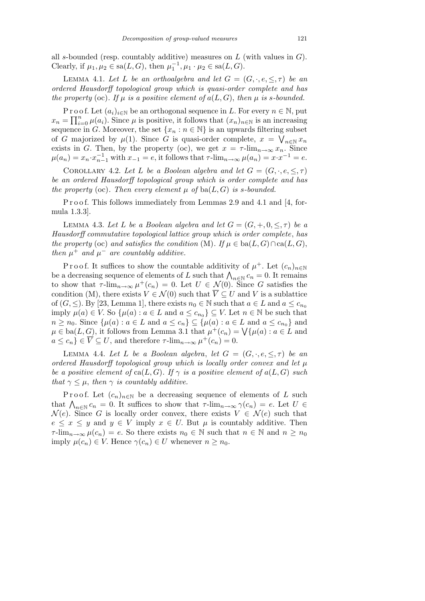all *s*-bounded (resp. countably additive) measures on *L* (with values in *G*). Clearly, if  $\mu_1, \mu_2 \in \text{sa}(L, G)$ , then  $\mu_1^{-1}, \mu_1 \cdot \mu_2 \in \text{sa}(L, G)$ .

LEMMA 4.1. Let L be an orthoalgebra and let  $G = (G, \cdot, e, \leq, \tau)$  be an *ordered Hausdorff topological group which is quasi-order complete and has the property* (oc). If  $\mu$  *is a positive element of*  $a(L, G)$ , *then*  $\mu$  *is s-bounded.* 

P r o o f. Let  $(a_i)_{i \in \mathbb{N}}$  be an orthogonal sequence in *L*. For every  $n \in \mathbb{N}$ , put  $x_n = \prod_{i=0}^n \mu(a_i)$ . Since  $\mu$  is positive, it follows that  $(x_n)_{n \in \mathbb{N}}$  is an increasing sequence in *G*. Moreover, the set  $\{x_n : n \in \mathbb{N}\}$  is an upwards filtering subset of *G* majorized by  $\mu(1)$ . Since *G* is quasi-order complete,  $x = \bigvee_{n \in \mathbb{N}} x_n$ exists in *G*. Then, by the property (oc), we get  $x = \tau$ -lim<sub> $n \to \infty} x_n$ . Since</sub>  $\mu(a_n) = x_n \cdot x_{n-1}^{-1}$  with  $x_{-1} = e$ , it follows that  $\tau$ - $\lim_{n \to \infty} \mu(a_n) = x \cdot x^{-1} = e$ .

COROLLARY 4.2. Let L be a Boolean algebra and let  $G = (G, \cdot, e, \leq, \tau)$ *be an ordered Hausdorff topological group which is order complete and has the property* (oc). Then every element  $\mu$  of ba( $L, G$ ) is *s*-bounded.

P r o o f. This follows immediately from Lemmas 2*.*9 and 4*.*1 and [4, formula 1*.*3*.*3].

**LEMMA 4.3.** Let L be a Boolean algebra and let  $G = (G, +, 0, \leq, \tau)$  be a *Hausdorff commutative topological lattice group which is order complete*, *has the property* (oc) *and satisfies the condition* (M)*. If*  $\mu \in ba(L, G) \cap ca(L, G)$ , *then*  $\mu^+$  *and*  $\mu^-$  *are countably additive.* 

Proof. It suffices to show the countable additivity of  $\mu^+$ . Let  $(c_n)_{n\in\mathbb{N}}$ be a decreasing sequence of elements of *L* such that  $\bigwedge_{n\in\mathbb{N}} c_n = 0$ . It remains to show that  $\tau$ -lim<sub> $n\to\infty$ </sub>  $\mu^+(c_n) = 0$ . Let  $U \in \mathcal{N}(0)$ . Since G satisfies the condition (M), there exists  $V \in \mathcal{N}(0)$  such that  $\overline{V} \subseteq U$  and V is a sublattice of  $(G, \le)$ . By [23, Lemma 1], there exists  $n_0 \in \mathbb{N}$  such that  $a \in L$  and  $a \leq c_{n_0}$ imply  $\mu(a) \in V$ . So  $\{\mu(a) : a \in L \text{ and } a \leq c_{n_0}\} \subseteq V$ . Let  $n \in \mathbb{N}$  be such that  $n \ge n_0$ . Since  $\{\mu(a) : a \in L \text{ and } a \le c_n\} \subseteq \{\mu(a) : a \in L \text{ and } a \le c_{n_0}\}\$ and  $n \geq n_0$ . Since  $\{\mu(a) : a \in L \text{ and } a \leq c_n\} \subseteq \{\mu(a) : a \in L \text{ and } a \leq c_{n_0}\}\$  and  $\mu \in \text{ba}(L, G)$ , it follows from Lemma 3.1 that  $\mu^+(c_n) = \bigvee \{\mu(a) : a \in L \text{ and } a \leq c_n\}$  $a \leq c_n$ ,  $\in \overline{V} \subseteq U$ , and therefore  $\tau$ -lim<sub> $n \to \infty$ </sub>  $\mu^+(c_n) = 0$ .

LEMMA 4.4. Let L be a Boolean algebra, let  $G = (G, \cdot, e, \leq, \tau)$  be an *ordered Hausdorff topological group which is locally order convex and let µ be a positive element of*  $ca(L, G)$ *. If*  $\gamma$  *is a positive element of*  $a(L, G)$  *such that*  $\gamma \leq \mu$ *, then*  $\gamma$  *is countably additive.* 

Proof. Let  $(c_n)_{n\in\mathbb{N}}$  be a decreasing sequence of elements of *L* such *F r* 001. Let  $(c_n)_{n \in \mathbb{N}}$  be a decreasing sequence of elements of *L* such that  $Λ_{n \in \mathbb{N}} c_n = 0$ . It suffices to show that  $τ$ -lim<sub>*n*→∞</sub>  $γ(c_n) = e$ . Let *U* ∈  $\mathcal{N}(e)$ . Since *G* is locally order convex, there exists  $V \in \mathcal{N}(e)$  such that  $e \leq x \leq y$  and  $y \in V$  imply  $x \in U$ . But  $\mu$  is countably additive. Then *τ*-lim<sub>*n*→∞</sub>  $\mu(c_n) = e$ . So there exists  $n_0 \in \mathbb{N}$  such that  $n \in \mathbb{N}$  and  $n \geq n_0$  $\text{imply } \mu(c_n) \in V. \text{ Hence } \gamma(c_n) \in U \text{ whenever } n \geq n_0.$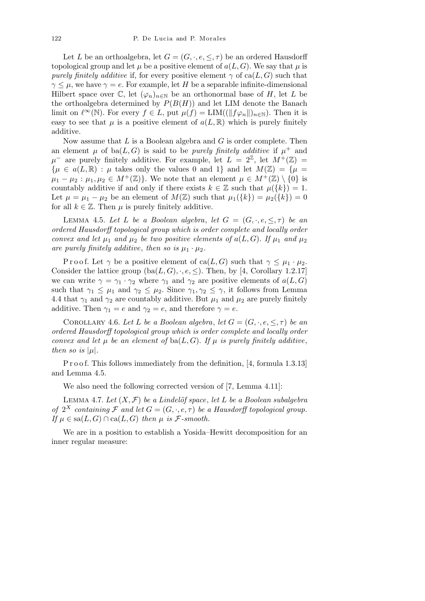Let *L* be an orthoalgebra, let  $G = (G, \cdot, e, \leq, \tau)$  be an ordered Hausdorff topological group and let  $\mu$  be a positive element of  $a(L, G)$ . We say that  $\mu$  is *purely finitely additive* if, for every positive element  $\gamma$  of ca( $L, G$ ) such that  $\gamma \leq \mu$ , we have  $\gamma = e$ . For example, let *H* be a separable infinite-dimensional Hilbert space over  $\mathbb{C}$ , let  $(\varphi_n)_{n\in\mathbb{N}}$  be an orthonormal base of *H*, let *L* be the orthoalgebra determined by  $P(B(H))$  and let LIM denote the Banach limit on  $\ell^{\infty}(\mathbb{N})$ . For every  $f \in L$ , put  $\mu(f) = \text{LIM}((\|f\varphi_n\|)_{n \in \mathbb{N}})$ . Then it is easy to see that  $\mu$  is a positive element of  $a(L, \mathbb{R})$  which is purely finitely additive.

Now assume that *L* is a Boolean algebra and *G* is order complete. Then an element  $\mu$  of ba $(L, G)$  is said to be *purely finitely additive* if  $\mu^+$  and  $\mu^-$  are purely finitely additive. For example, let  $L = 2^{\mathbb{Z}}$ , let  $M^+({\mathbb{Z}}) =$  $\{\mu \in a(L, \mathbb{R}) : \mu \text{ takes only the values 0 and 1} \}$  and let  $M(\mathbb{Z}) = \{\mu = \mu\}$  $\mu_1 - \mu_2 : \mu_1, \mu_2 \in M^+(\mathbb{Z})\}$ . We note that an element  $\mu \in M^+(\mathbb{Z}) \setminus \{0\}$  is countably additive if and only if there exists  $k \in \mathbb{Z}$  such that  $\mu({k}) = 1$ . Let  $\mu = \mu_1 - \mu_2$  be an element of  $M(\mathbb{Z})$  such that  $\mu_1({k}) = \mu_2({k}) = 0$ for all  $k \in \mathbb{Z}$ . Then  $\mu$  is purely finitely additive.

LEMMA 4.5. Let L be a Boolean algebra, let  $G = (G, \cdot, e, \leq, \tau)$  be an *ordered Hausdorff topological group which is order complete and locally order convex and let*  $\mu_1$  *and*  $\mu_2$  *be two positive elements of*  $a(L, G)$ *. If*  $\mu_1$  *and*  $\mu_2$ are purely finitely additive, then so is  $\mu_1 \cdot \mu_2$ .

Proof. Let  $\gamma$  be a positive element of ca(*L, G*) such that  $\gamma \leq \mu_1 \cdot \mu_2$ . Consider the lattice group  $(ba(L, G), \cdot, e, \leq)$ . Then, by [4, Corollary 1*.*2*.*17] we can write  $\gamma = \gamma_1 \cdot \gamma_2$  where  $\gamma_1$  and  $\gamma_2$  are positive elements of  $a(L, G)$ such that  $\gamma_1 \leq \mu_1$  and  $\gamma_2 \leq \mu_2$ . Since  $\gamma_1, \gamma_2 \leq \gamma$ , it follows from Lemma 4.4 that  $\gamma_1$  and  $\gamma_2$  are countably additive. But  $\mu_1$  and  $\mu_2$  are purely finitely additive. Then  $\gamma_1 = e$  and  $\gamma_2 = e$ , and therefore  $\gamma = e$ .

COROLLARY 4.6. Let L be a Boolean algebra, let  $G = (G, \cdot, e, \leq, \tau)$  be an *ordered Hausdorff topological group which is order complete and locally order convex and let*  $\mu$  *be an element of*  $ba(L, G)$ *. If*  $\mu$  *is purely finitely additive*, *then so is*  $|\mu|$ *.* 

P r o o f. This follows immediately from the definition, [4, formula 1*.*3*.*13] and Lemma 4*.*5*.*

We also need the following corrected version of [7, Lemma 4*.*11]:

LEMMA 4.7. Let  $(X, \mathcal{F})$  be a Lindelöf space, let L be a Boolean subalgebra *of*  $2^X$  *containing*  $\mathcal F$  *and let*  $G = (G, \cdot, e, \tau)$  *be a Hausdorff topological group. If*  $\mu \in \text{sa}(L, G) \cap \text{ca}(L, G)$  *then*  $\mu$  *is*  $\mathcal{F}\text{-smooth}.$ 

We are in a position to establish a Yosida–Hewitt decomposition for an inner regular measure: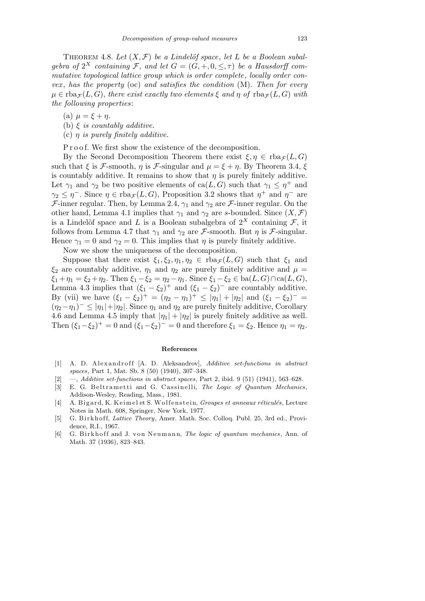THEOREM 4.8. Let  $(X, \mathcal{F})$  be a Lindelöf space, let L be a Boolean subal*gebra of*  $2^X$  *containing* F, *and let*  $G = (G, +, 0, \leq, \tau)$  *be a Hausdorff commutative topological lattice group which is order complete*, *locally order convex* , *has the property* (oc) *and satisfies the condition* (M)*. Then for every*  $\mu \in \text{rba}_{\mathcal{F}}(L, G)$ , *there exist exactly two elements*  $\xi$  *and*  $\eta$  *of*  $\text{rba}_{\mathcal{F}}(L, G)$  *with the following properties*:

(a) *µ* = *ξ* + *η.*

- (b) *ξ is countably additive.*
- (c) *η is purely finitely additive.*

P r o o f. We first show the existence of the decomposition.

By the Second Decomposition Theorem there exist  $\xi, \eta \in \text{rba}_{\mathcal{F}}(L, G)$ such that  $\xi$  is *F*-smooth, *η* is *F*-singular and  $\mu = \xi + \eta$ . By Theorem 3.4,  $\xi$ is countably additive. It remains to show that  $\eta$  is purely finitely additive. Let  $\gamma_1$  and  $\gamma_2$  be two positive elements of ca( $L, G$ ) such that  $\gamma_1 \leq \eta^+$  and  $\gamma_2 \leq \eta^-$ . Since  $\eta \in \text{rba}_{\mathcal{F}}(L, G)$ , Proposition 3.2 shows that  $\eta^+$  and  $\eta^-$  are *F*-inner regular. Then, by Lemma 2.4,  $\gamma_1$  and  $\gamma_2$  are *F*-inner regular. On the other hand, Lemma 4.1 implies that  $\gamma_1$  and  $\gamma_2$  are *s*-bounded. Since  $(X, \mathcal{F})$ is a Lindelöf space and *L* is a Boolean subalgebra of  $2^X$  containing *F*, it follows from Lemma 4.7 that  $\gamma_1$  and  $\gamma_2$  are *F*-smooth. But *η* is *F*-singular. Hence  $\gamma_1 = 0$  and  $\gamma_2 = 0$ . This implies that  $\eta$  is purely finitely additive.

Now we show the uniqueness of the decomposition.

Suppose that there exist  $\xi_1, \xi_2, \eta_1, \eta_2 \in \text{rba}_{\mathcal{F}}(L, G)$  such that  $\xi_1$  and *ξ*<sub>2</sub> are countably additive,  $\eta_1$  and  $\eta_2$  are purely finitely additive and  $\mu$  =  $\xi_1 + \eta_1 = \xi_2 + \eta_2$ . Then  $\xi_1 - \xi_2 = \eta_2 - \eta_1$ . Since  $\xi_1 - \xi_2 \in ba(L, G) \cap ca(L, G)$ , Lemma 4.3 implies that  $(\xi_1 - \xi_2)^+$  and  $(\xi_1 - \xi_2)^-$  are countably additive. By (vii) we have  $(\xi_1 - \xi_2)^+ = (\eta_2 - \eta_1)^+ \leq |\eta_1| + |\eta_2|$  and  $(\xi_1 - \xi_2)^- =$  $(\eta_2 - \eta_1)^{-} \leq |\eta_1| + |\eta_2|$ . Since  $\eta_1$  and  $\eta_2$  are purely finitely additive, Corollary 4.6 and Lemma 4.5 imply that  $|\eta_1| + |\eta_2|$  is purely finitely additive as well. Then  $(\xi_1 - \xi_2)^+ = 0$  and  $(\xi_1 - \xi_2)^- = 0$  and therefore  $\xi_1 = \xi_2$ . Hence  $\eta_1 = \eta_2$ .

## **References**

- [1] A. D. Alexandroff [A. D. Aleksandrov], *Additive set-functions in abstract spaces*, Part 1, Mat. Sb. 8 (50) (1940), 307–348.
- [2] —, *Additive set-functions in abstract spaces*, Part 2, ibid. 9 (51) (1941), 563–628.
- [3] E. G. Beltrametti and G. Cassinelli, *The Logic of Quantum Mechanics*, Addison-Wesley, Reading, Mass., 1981.
- [4] A. Bigard, K. Keimel et S. Wolfenstein, *Groupes et anneaux réticulés*, Lecture Notes in Math. 608, Springer, New York, 1977.
- [5] G. Birkhoff, *Lattice Theory*, Amer. Math. Soc. Collog. Publ. 25, 3rd ed., Providence, R.I., 1967.
- [6] G. Birkhoff and J. von Neumann, *The logic of quantum mechanics*, Ann. of Math. 37 (1936), 823–843.